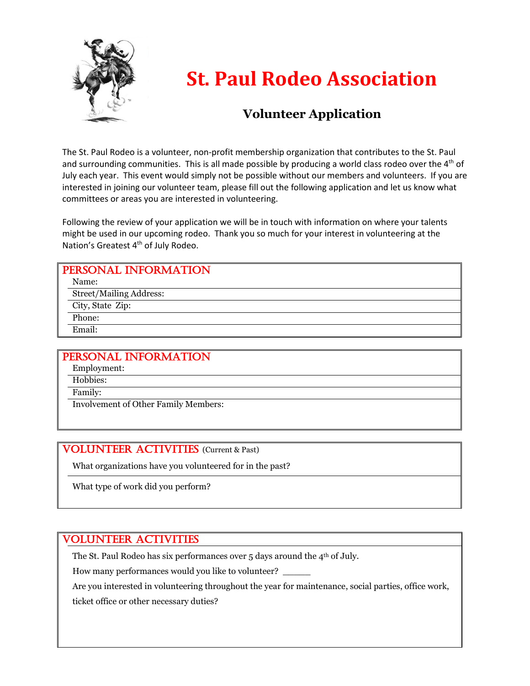

## **St. Paul Rodeo Association**

### **Volunteer Application**

The St. Paul Rodeo is a volunteer, non-profit membership organization that contributes to the St. Paul and surrounding communities. This is all made possible by producing a world class rodeo over the  $4<sup>th</sup>$  of July each year. This event would simply not be possible without our members and volunteers. If you are interested in joining our volunteer team, please fill out the following application and let us know what committees or areas you are interested in volunteering.

Following the review of your application we will be in touch with information on where your talents might be used in our upcoming rodeo. Thank you so much for your interest in volunteering at the Nation's Greatest 4<sup>th</sup> of July Rodeo.

#### PERSONAL INFORMATION Name: Street/Mailing Address: City, State Zip: Phone: Email:

#### PERSONAL INFORMATION Employment:

Hobbies:

Family:

Involvement of Other Family Members:

#### **VOLUNTEER ACTIVITIES** (Current & Past)

What organizations have you volunteered for in the past?

What type of work did you perform?

#### VOLUNTEER ACTIVITIES

The St. Paul Rodeo has six performances over 5 days around the 4<sup>th</sup> of July.

How many performances would you like to volunteer?

Are you interested in volunteering throughout the year for maintenance, social parties, office work, ticket office or other necessary duties?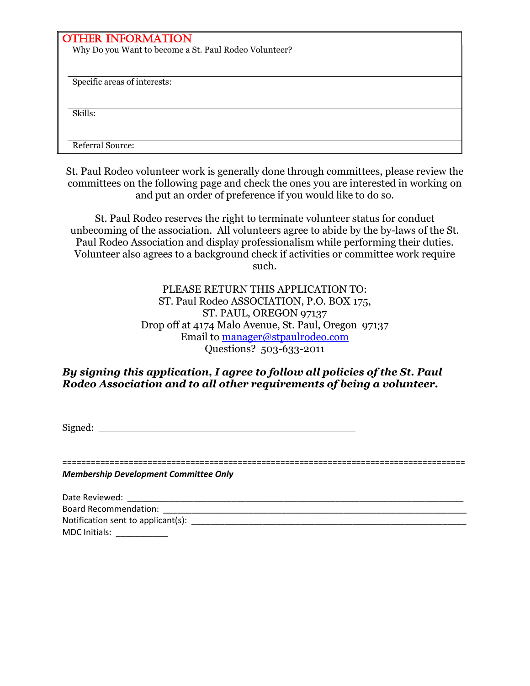#### OTHER INFORMATION

Why Do you Want to become a St. Paul Rodeo Volunteer?

Specific areas of interests:

Skills:

Referral Source:

St. Paul Rodeo volunteer work is generally done through committees, please review the committees on the following page and check the ones you are interested in working on and put an order of preference if you would like to do so.

St. Paul Rodeo reserves the right to terminate volunteer status for conduct unbecoming of the association. All volunteers agree to abide by the by-laws of the St. Paul Rodeo Association and display professionalism while performing their duties. Volunteer also agrees to a background check if activities or committee work require such.

> PLEASE RETURN THIS APPLICATION TO: ST. Paul Rodeo ASSOCIATION, P.O. BOX 175, ST. PAUL, OREGON 97137 Drop off at 4174 Malo Avenue, St. Paul, Oregon 97137 Email to manager@stpaulrodeo.com Questions? 503-633-2011

#### *By signing this application, I agree to follow all policies of the St. Paul Rodeo Association and to all other requirements of being a volunteer.*

Signed:

=====================================================================================

*Membership Development Committee Only*

| Date Reviewed:                     |  |
|------------------------------------|--|
| <b>Board Recommendation:</b>       |  |
| Notification sent to applicant(s): |  |
| MDC Initials:                      |  |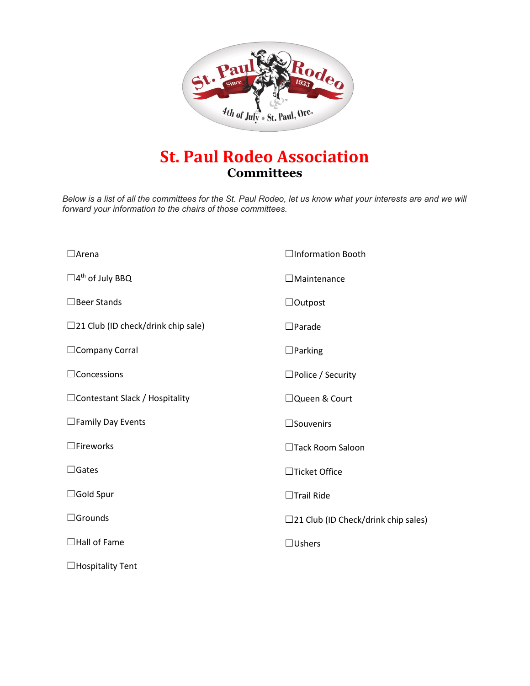

## **St. Paul Rodeo Association Committees**

*Below is a list of all the committees for the St. Paul Rodeo, let us know what your interests are and we will forward your information to the chairs of those committees.* 

| $\Box$ Arena                              | □Information Booth                            |
|-------------------------------------------|-----------------------------------------------|
| $\square$ 4 <sup>th</sup> of July BBQ     | $\Box$ Maintenance                            |
| $\Box$ Beer Stands                        | $\Box$ Outpost                                |
| $\Box$ 21 Club (ID check/drink chip sale) | $\square$ Parade                              |
| $\Box$ Company Corral                     | $\Box$ Parking                                |
| $\Box$ Concessions                        | $\Box$ Police / Security                      |
| $\Box$ Contestant Slack / Hospitality     | □ Queen & Court                               |
| $\square$ Family Day Events               | $\square$ Souvenirs                           |
| $\Box$ Fireworks                          | □Tack Room Saloon                             |
| $\Box$ Gates                              | □Ticket Office                                |
| $\Box$ Gold Spur                          | $\Box$ Trail Ride                             |
| $\Box$ Grounds                            | $\square$ 21 Club (ID Check/drink chip sales) |
| $\Box$ Hall of Fame                       | $\Box$ Ushers                                 |
| $\Box$ Hospitality Tent                   |                                               |